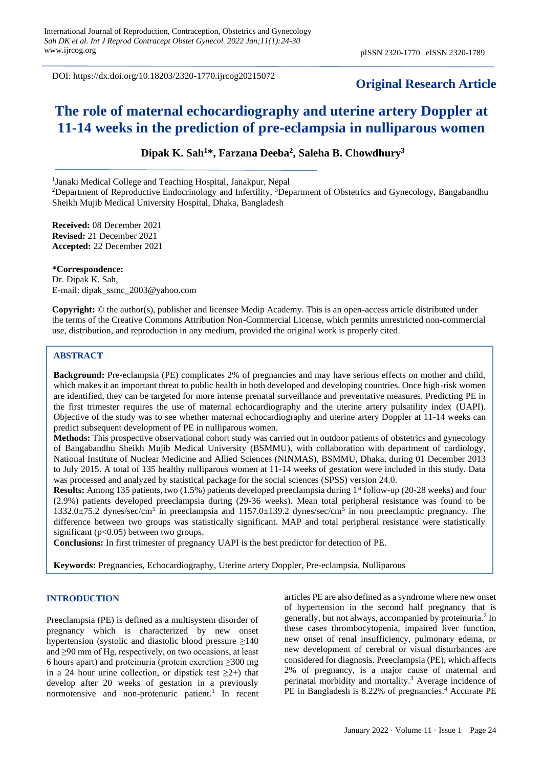DOI: https://dx.doi.org/10.18203/2320-1770.ijrcog20215072

# **Original Research Article**

# **The role of maternal echocardiography and uterine artery Doppler at 11-14 weeks in the prediction of pre-eclampsia in nulliparous women**

# **Dipak K. Sah<sup>1</sup>\*, Farzana Deeba<sup>2</sup> , Saleha B. Chowdhury<sup>3</sup>**

<sup>1</sup>Janaki Medical College and Teaching Hospital, Janakpur, Nepal

<sup>2</sup>Department of Reproductive Endocrinology and Infertility,  ${}^{3}$ Department of Obstetrics and Gynecology, Bangabandhu Sheikh Mujib Medical University Hospital, Dhaka, Bangladesh

**Received:** 08 December 2021 **Revised:** 21 December 2021 **Accepted:** 22 December 2021

**\*Correspondence:** Dr. Dipak K. Sah, E-mail: dipak\_ssmc\_2003@yahoo.com

**Copyright:** © the author(s), publisher and licensee Medip Academy. This is an open-access article distributed under the terms of the Creative Commons Attribution Non-Commercial License, which permits unrestricted non-commercial use, distribution, and reproduction in any medium, provided the original work is properly cited.

#### **ABSTRACT**

**Background:** Pre-eclampsia (PE) complicates 2% of pregnancies and may have serious effects on mother and child, which makes it an important threat to public health in both developed and developing countries. Once high-risk women are identified, they can be targeted for more intense prenatal surveillance and preventative measures. Predicting PE in the first trimester requires the use of maternal echocardiography and the uterine artery pulsatility index (UAPI). Objective of the study was to see whether maternal echocardiography and uterine artery Doppler at 11-14 weeks can predict subsequent development of PE in nulliparous women.

**Methods:** This prospective observational cohort study was carried out in outdoor patients of obstetrics and gynecology of Bangabandhu Sheikh Mujib Medical University (BSMMU), with collaboration with department of cardiology, National Institute of Nuclear Medicine and Allied Sciences (NINMAS), BSMMU, Dhaka, during 01 December 2013 to July 2015. A total of 135 healthy nulliparous women at 11-14 weeks of gestation were included in this study. Data was processed and analyzed by statistical package for the social sciences (SPSS) version 24.0.

**Results:** Among 135 patients, two (1.5%) patients developed preeclampsia during 1<sup>st</sup> follow-up (20-28 weeks) and four (2.9%) patients developed preeclampsia during (29-36 weeks). Mean total peripheral resistance was found to be 1332.0±75.2 dynes/sec/cm<sup>5</sup> in preeclampsia and 1157.0±139.2 dynes/sec/cm<sup>5</sup> in non preeclamptic pregnancy. The difference between two groups was statistically significant. MAP and total peripheral resistance were statistically significant ( $p<0.05$ ) between two groups.

**Conclusions:** In first trimester of pregnancy UAPI is the best predictor for detection of PE.

**Keywords:** Pregnancies, Echocardiography, Uterine artery Doppler, Pre-eclampsia, Nulliparous

#### **INTRODUCTION**

Preeclampsia (PE) is defined as a multisystem disorder of pregnancy which is characterized by new onset hypertension (systolic and diastolic blood pressure ≥140 and ≥90 mm of Hg, respectively, on two occasions, at least 6 hours apart) and proteinuria (protein excretion ≥300 mg in a 24 hour urine collection, or dipstick test  $\geq 2+$ ) that develop after 20 weeks of gestation in a previously normotensive and non-protenuric patient. 1 In recent articles PE are also defined as a syndrome where new onset of hypertension in the second half pregnancy that is generally, but not always, accompanied by proteinuria. 2 In these cases thrombocytopenia, impaired liver function, new onset of renal insufficiency, pulmonary edema, or new development of cerebral or visual disturbances are considered for diagnosis. Preeclampsia (PE), which affects 2% of pregnancy, is a major cause of maternal and perinatal morbidity and mortality.<sup>3</sup> Average incidence of PE in Bangladesh is 8.22% of pregnancies.<sup>4</sup> Accurate PE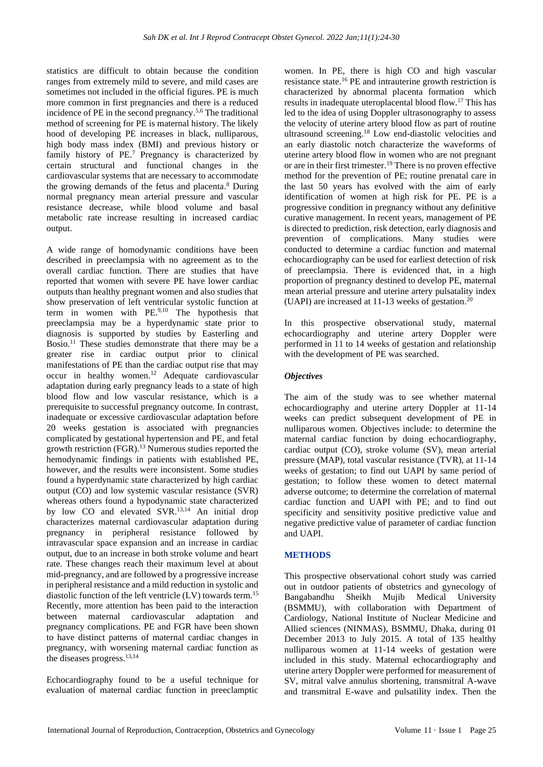statistics are difficult to obtain because the condition ranges from extremely mild to severe, and mild cases are sometimes not included in the official figures. PE is much more common in first pregnancies and there is a reduced incidence of PE in the second pregnancy.<sup>5,6</sup> The traditional method of screening for PE is maternal history. The likely hood of developing PE increases in black, nulliparous, high body mass index (BMI) and previous history or family history of PE.<sup>7</sup> Pregnancy is characterized by certain structural and functional changes in the cardiovascular systems that are necessary to accommodate the growing demands of the fetus and placenta. <sup>8</sup> During normal pregnancy mean arterial pressure and vascular resistance decrease, while blood volume and basal metabolic rate increase resulting in increased cardiac output.

A wide range of homodynamic conditions have been described in preeclampsia with no agreement as to the overall cardiac function. There are studies that have reported that women with severe PE have lower cardiac outputs than healthy pregnant women and also studies that show preservation of left ventricular systolic function at term in women with PE.9,10 The hypothesis that preeclampsia may be a hyperdynamic state prior to diagnosis is supported by studies by Easterling and Bosio. <sup>11</sup> These studies demonstrate that there may be a greater rise in cardiac output prior to clinical manifestations of PE than the cardiac output rise that may occur in healthy women.<sup>12</sup> Adequate cardiovascular adaptation during early pregnancy leads to a state of high blood flow and low vascular resistance, which is a prerequisite to successful pregnancy outcome. In contrast, inadequate or excessive cardiovascular adaptation before 20 weeks gestation is associated with pregnancies complicated by gestational hypertension and PE, and fetal growth restriction (FGR).<sup>13</sup> Numerous studies reported the hemodynamic findings in patients with established PE, however, and the results were inconsistent. Some studies found a hyperdynamic state characterized by high cardiac output (CO) and low systemic vascular resistance (SVR) whereas others found a hypodynamic state characterized by low CO and elevated SVR.<sup>13,14</sup> An initial drop characterizes maternal cardiovascular adaptation during pregnancy in peripheral resistance followed by intravascular space expansion and an increase in cardiac output, due to an increase in both stroke volume and heart rate. These changes reach their maximum level at about mid-pregnancy, and are followed by a progressive increase in peripheral resistance and a mild reduction in systolic and diastolic function of the left ventricle  $(LV)$  towards term.<sup>15</sup> Recently, more attention has been paid to the interaction between maternal cardiovascular adaptation and pregnancy complications. PE and FGR have been shown to have distinct patterns of maternal cardiac changes in pregnancy, with worsening maternal cardiac function as the diseases progress. 13,14

Echocardiography found to be a useful technique for evaluation of maternal cardiac function in preeclamptic

women. In PE, there is high CO and high vascular resistance state. <sup>16</sup> PE and intrauterine growth restriction is characterized by abnormal placenta formation which results in inadequate uteroplacental blood flow.<sup>17</sup> This has led to the idea of using Doppler ultrasonography to assess the velocity of uterine artery blood flow as part of routine ultrasound screening. <sup>18</sup> Low end-diastolic velocities and an early diastolic notch characterize the waveforms of uterine artery blood flow in women who are not pregnant or are in their first trimester. <sup>19</sup> There is no proven effective method for the prevention of PE; routine prenatal care in the last 50 years has evolved with the aim of early identification of women at high risk for PE. PE is a progressive condition in pregnancy without any definitive curative management. In recent years, management of PE is directed to prediction, risk detection, early diagnosis and prevention of complications. Many studies were conducted to determine a cardiac function and maternal echocardiography can be used for earliest detection of risk of preeclampsia. There is evidenced that, in a high proportion of pregnancy destined to develop PE, maternal mean arterial pressure and uterine artery pulsatality index (UAPI) are increased at 11-13 weeks of gestation. 20

In this prospective observational study, maternal echocardiography and uterine artery Doppler were performed in 11 to 14 weeks of gestation and relationship with the development of PE was searched.

## *Objectives*

The aim of the study was to see whether maternal echocardiography and uterine artery Doppler at 11-14 weeks can predict subsequent development of PE in nulliparous women. Objectives include: to determine the maternal cardiac function by doing echocardiography, cardiac output (CO), stroke volume (SV), mean arterial pressure (MAP), total vascular resistance (TVR), at 11-14 weeks of gestation; to find out UAPI by same period of gestation; to follow these women to detect maternal adverse outcome; to determine the correlation of maternal cardiac function and UAPI with PE; and to find out specificity and sensitivity positive predictive value and negative predictive value of parameter of cardiac function and UAPI.

#### **METHODS**

This prospective observational cohort study was carried out in outdoor patients of obstetrics and gynecology of Bangabandhu Sheikh Mujib Medical University (BSMMU), with collaboration with Department of Cardiology, National Institute of Nuclear Medicine and Allied sciences (NINMAS), BSMMU, Dhaka, during 01 December 2013 to July 2015. A total of 135 healthy nulliparous women at 11-14 weeks of gestation were included in this study. Maternal echocardiography and uterine artery Doppler were performed for measurement of SV, mitral valve annulus shortening, transmitral A-wave and transmitral E-wave and pulsatility index. Then the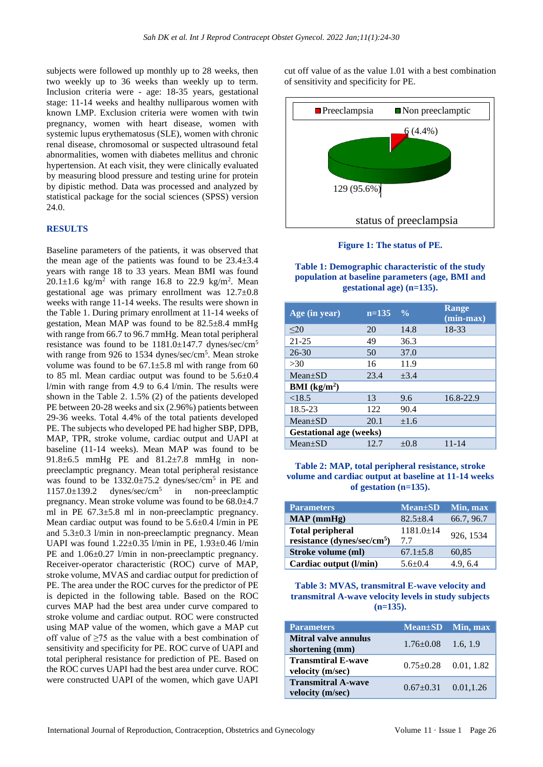subjects were followed up monthly up to 28 weeks, then two weekly up to 36 weeks than weekly up to term. Inclusion criteria were - age: 18-35 years, gestational stage: 11-14 weeks and healthy nulliparous women with known LMP. Exclusion criteria were women with twin pregnancy, women with heart disease, women with systemic lupus erythematosus (SLE), women with chronic renal disease, chromosomal or suspected ultrasound fetal abnormalities, women with diabetes mellitus and chronic hypertension. At each visit, they were clinically evaluated by measuring blood pressure and testing urine for protein by dipistic method. Data was processed and analyzed by statistical package for the social sciences (SPSS) version 24.0.

#### **RESULTS**

Baseline parameters of the patients, it was observed that the mean age of the patients was found to be  $23.4\pm3.4$ years with range 18 to 33 years. Mean BMI was found  $20.1 \pm 1.6$  kg/m<sup>2</sup> with range 16.8 to 22.9 kg/m<sup>2</sup>. Mean gestational age was primary enrollment was 12.7±0.8 weeks with range 11-14 weeks. The results were shown in the Table 1. During primary enrollment at 11-14 weeks of gestation, Mean MAP was found to be 82.5±8.4 mmHg with range from 66.7 to 96.7 mmHg. Mean total peripheral resistance was found to be 1181.0±147.7 dynes/sec/cm<sup>5</sup> with range from 926 to 1534 dynes/sec/cm<sup>5</sup>. Mean stroke volume was found to be  $67.1 \pm 5.8$  ml with range from 60 to 85 ml. Mean cardiac output was found to be 5.6±0.4 l/min with range from 4.9 to 6.4 l/min. The results were shown in the Table 2. 1.5% (2) of the patients developed PE between 20-28 weeks and six (2.96%) patients between 29-36 weeks. Total 4.4% of the total patients developed PE. The subjects who developed PE had higher SBP, DPB, MAP, TPR, stroke volume, cardiac output and UAPI at baseline (11-14 weeks). Mean MAP was found to be 91.8±6.5 mmHg PE and 81.2±7.8 mmHg in nonpreeclamptic pregnancy. Mean total peripheral resistance was found to be 1332.0±75.2 dynes/sec/cm<sup>5</sup> in PE and  $1157.0 \pm 139.2$  dynes/sec/cm<sup>5</sup> in non-preeclamptic pregnancy. Mean stroke volume was found to be 68.0±4.7 ml in PE 67.3±5.8 ml in non-preeclamptic pregnancy. Mean cardiac output was found to be 5.6±0.4 l/min in PE and 5.3±0.3 l/min in non-preeclamptic pregnancy. Mean UAPI was found 1.22±0.35 l/min in PE, 1.93±0.46 l/min PE and  $1.06\pm0.27$  l/min in non-preeclamptic pregnancy. Receiver-operator characteristic (ROC) curve of MAP, stroke volume, MVAS and cardiac output for prediction of PE. The area under the ROC curves for the predictor of PE is depicted in the following table. Based on the ROC curves MAP had the best area under curve compared to stroke volume and cardiac output. ROC were constructed using MAP value of the women, which gave a MAP cut off value of  $\geq$ 75 as the value with a best combination of sensitivity and specificity for PE. ROC curve of UAPI and total peripheral resistance for prediction of PE. Based on the ROC curves UAPI had the best area under curve. ROC were constructed UAPI of the women, which gave UAPI

cut off value of as the value 1.01 with a best combination of sensitivity and specificity for PE.



**Figure 1: The status of PE.**

**Table 1: Demographic characteristic of the study population at baseline parameters (age, BMI and gestational age) (n=135).**

| Age (in year)                  | $n=135$ | $\frac{0}{0}$ | Range<br>$(min-max)$ |  |  |  |  |  |
|--------------------------------|---------|---------------|----------------------|--|--|--|--|--|
| $20$                           | 20      | 14.8          | 18-33                |  |  |  |  |  |
| $21 - 25$                      | 49      | 36.3          |                      |  |  |  |  |  |
| $26 - 30$                      | 50      | 37.0          |                      |  |  |  |  |  |
| >30                            | 16      | 11.9          |                      |  |  |  |  |  |
| $Mean \pm SD$                  | 23.4    | $+3.4$        |                      |  |  |  |  |  |
| <b>BMI</b> ( $kg/m2$ )         |         |               |                      |  |  |  |  |  |
| < 18.5                         | 13      | 9.6           | 16.8-22.9            |  |  |  |  |  |
| 18.5-23                        | 122     | 90.4          |                      |  |  |  |  |  |
| $Mean+SD$                      | 20.1    | $\pm 1.6$     |                      |  |  |  |  |  |
| <b>Gestational age (weeks)</b> |         |               |                      |  |  |  |  |  |
| $Mean \pm SD$                  | 12.7    | $\pm 0.8$     | $11 - 14$            |  |  |  |  |  |

**Table 2: MAP, total peripheral resistance, stroke volume and cardiac output at baseline at 11-14 weeks of gestation (n=135).**

| <b>Parameters</b>                       | <b>Mean</b> ±SD | Min, max   |
|-----------------------------------------|-----------------|------------|
| $MAP$ (mmHg)                            | $82.5 + 8.4$    | 66.7, 96.7 |
| <b>Total peripheral</b>                 | $1181.0 \pm 14$ |            |
| resistance (dynes/sec/cm <sup>5</sup> ) | 7.7             | 926, 1534  |
| Stroke volume (ml)                      | $67.1 + 5.8$    | 60,85      |
| Cardiac output (l/min)                  | $5.6 \pm 0.4$   | 4.9, 6.4   |

**Table 3: MVAS, transmitral E-wave velocity and transmitral A-wave velocity levels in study subjects (n=135).**

| <b>Parameters</b>                             | $Mean \pm SD$ Min, max       |  |
|-----------------------------------------------|------------------------------|--|
| Mitral valve annulus<br>shortening (mm)       | $1.76 \pm 0.08$ 1.6, 1.9     |  |
| <b>Transmtiral E-wave</b><br>velocity (m/sec) | $0.75 \pm 0.28$ 0.01, 1.82   |  |
| <b>Transmitral A-wave</b><br>velocity (m/sec) | $0.67 \pm 0.31$ $0.01, 1.26$ |  |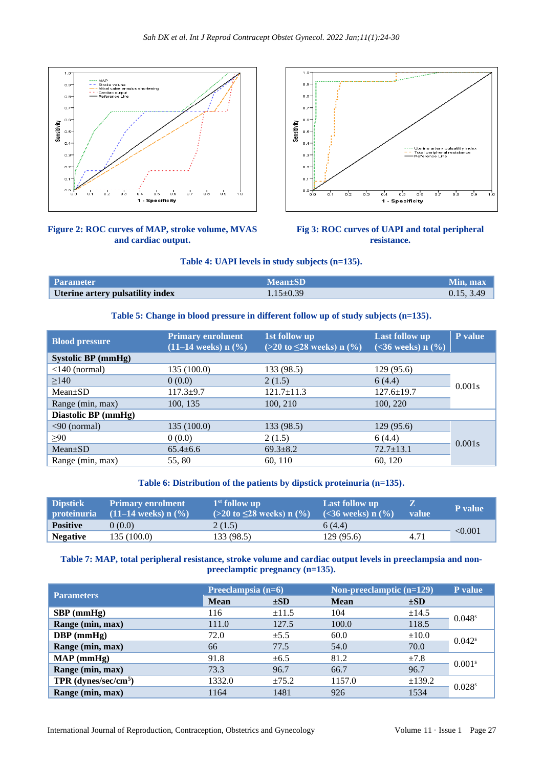

## **Figure 2: ROC curves of MAP, stroke volume, MVAS and cardiac output.**



## **Fig 3: ROC curves of UAPI and total peripheral resistance.**

#### **Table 4: UAPI levels in study subjects (n=135).**

| <b>Parameter</b>                 | $Mean \pm SD$   | Min. max   |
|----------------------------------|-----------------|------------|
| Uterine artery pulsatility index | $1.15 \pm 0.39$ | 0.15, 3.49 |

#### **Table 5: Change in blood pressure in different follow up of study subjects (n=135).**

| <b>Blood pressure</b>                 | <b>Primary enrolment</b><br>$(11-14 \text{ weeks}) \text{ n } (\frac{9}{6})$ | 1st follow up<br>$(>20 \text{ to } \leq 28 \text{ weeks}) \text{ n } (\frac{9}{6})$ | Last follow up<br>$(<36$ weeks) n $(\%)$ | P value |  |
|---------------------------------------|------------------------------------------------------------------------------|-------------------------------------------------------------------------------------|------------------------------------------|---------|--|
| <b>Systolic BP</b> (mmHg)             |                                                                              |                                                                                     |                                          |         |  |
| $\langle$ 140 (normal)                | 135(100.0)                                                                   | 133 (98.5)                                                                          | 129(95.6)                                |         |  |
| $\geq$ 140                            | 0(0.0)                                                                       | 2(1.5)                                                                              | 6(4.4)                                   |         |  |
| $Mean \pm SD$                         | $117.3 + 9.7$                                                                | $121.7 \pm 11.3$                                                                    | $127.6 \pm 19.7$                         | 0.001s  |  |
| Range (min, max)                      | 100, 135                                                                     | 100, 210                                                                            | 100, 220                                 |         |  |
| Diastolic BP (mmHg)                   |                                                                              |                                                                                     |                                          |         |  |
| $\langle 90 \text{ (normal)} \rangle$ | 135(100.0)                                                                   | 133 (98.5)                                                                          | 129(95.6)                                |         |  |
| >90                                   | 0(0.0)                                                                       | 2(1.5)                                                                              | 6(4.4)                                   | 0.001s  |  |
| $Mean+SD$                             | $65.4 \pm 6.6$                                                               | $69.3 \pm 8.2$                                                                      | $72.7 \pm 13.1$                          |         |  |
| Range (min, max)                      | 55, 80                                                                       | 60, 110                                                                             | 60, 120                                  |         |  |

#### **Table 6: Distribution of the patients by dipstick proteinuria (n=135).**

| <b>Dipstick</b><br><b>proteinuria</b> | <b>Primary enrolment</b><br>$(11-14$ weeks) n $(\% )$ | $1st$ follow up<br>$(>20 \text{ to } \leq 28 \text{ weeks}) \text{ n } (\% )$ | Last follow up<br>$(<36$ weeks) n $(\%)$ | <b>value</b> | <b>P</b> value |
|---------------------------------------|-------------------------------------------------------|-------------------------------------------------------------------------------|------------------------------------------|--------------|----------------|
| <b>Positive</b>                       | 0(0.0)                                                | 2(1.5)                                                                        | 6(4.4)                                   |              |                |
| <b>Negative</b>                       | 135(100.0)                                            | 133 (98.5)                                                                    | 129(95.6)                                | 4.71         | < 0.001        |

**Table 7: MAP, total peripheral resistance, stroke volume and cardiac output levels in preeclampsia and nonpreeclamptic pregnancy (n=135).**

|                                    | Preeclampsia (n=6) |            | Non-preeclamptic $(n=129)$ | P value    |                      |
|------------------------------------|--------------------|------------|----------------------------|------------|----------------------|
| <b>Parameters</b>                  | <b>Mean</b>        | $\pm SD$   | <b>Mean</b>                | $\pm SD$   |                      |
| $SBP$ (mmHg)                       | 116                | $\pm 11.5$ | 104                        | $\pm 14.5$ | 0.048 <sup>s</sup>   |
| Range (min, max)                   | 111.0              | 127.5      | 100.0                      | 118.5      |                      |
| $DBP$ (mmHg)                       | 72.0               | $\pm$ 5.5  | 60.0                       | $\pm 10.0$ | $0.042$ <sup>s</sup> |
| Range (min, max)                   | 66                 | 77.5       | 54.0                       | 70.0       |                      |
| MAP(mmHg)                          | 91.8               | $\pm 6.5$  | 81.2                       | ±7.8       | 0.001 <sup>s</sup>   |
| Range (min, max)                   | 73.3               | 96.7       | 66.7                       | 96.7       |                      |
| $TPR$ (dynes/sec/cm <sup>5</sup> ) | 1332.0             | $\pm 75.2$ | 1157.0                     | ±139.2     | 0.028 <sup>s</sup>   |
| Range (min, max)                   | 1164               | 1481       | 926                        | 1534       |                      |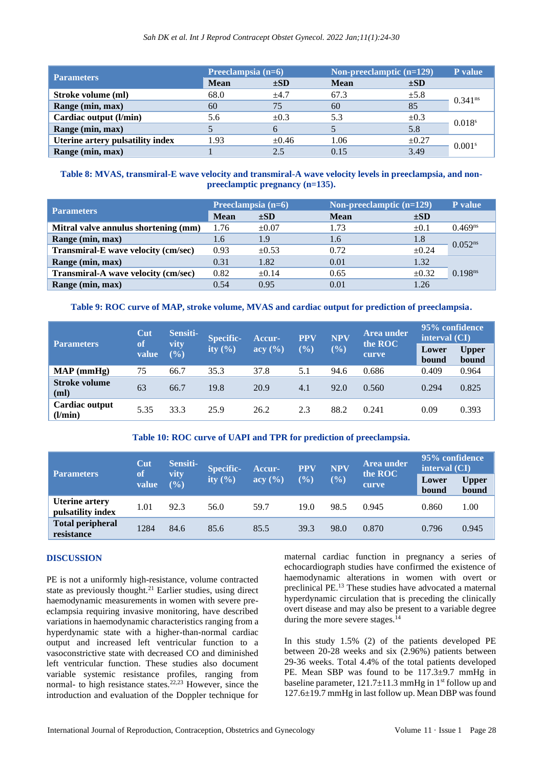#### *Sah DK et al. Int J Reprod Contracept Obstet Gynecol. 2022 Jan;11(1):24-30*

| <b>Parameters</b>                | Preeclampsia (n=6) |            | Non-preeclamptic $(n=129)$ | P value    |                       |
|----------------------------------|--------------------|------------|----------------------------|------------|-----------------------|
|                                  | <b>Mean</b>        | $\pm SD$   | <b>Mean</b>                | $\pm SD$   |                       |
| Stroke volume (ml)               | 68.0               | $+4.7$     | 67.3                       | $\pm 5.8$  | $0.341$ <sup>ns</sup> |
| Range (min, max)                 | 60                 | 75         | 60                         | 85         |                       |
| Cardiac output (l/min)           | 5.6                | $\pm 0.3$  | 5.3                        | $\pm 0.3$  |                       |
| Range (min, max)                 |                    |            |                            | 5.8        | 0.018 <sup>s</sup>    |
| Uterine artery pulsatility index | 1.93               | $\pm 0.46$ | 1.06                       | $\pm 0.27$ | 0.001 <sup>s</sup>    |
| Range (min, max)                 |                    | 2.5        | 0.15                       | 3.49       |                       |

#### **Table 8: MVAS, transmiral-E wave velocity and transmiral-A wave velocity levels in preeclampsia, and nonpreeclamptic pregnancy (n=135).**

| <b>Parameters</b>                    | Preeclampsia (n=6) |            |             | Non-preeclamptic $(n=129)$ |                     |
|--------------------------------------|--------------------|------------|-------------|----------------------------|---------------------|
|                                      | <b>Mean</b>        | $\pm SD$   | <b>Mean</b> | $\pm SD$                   |                     |
| Mitral valve annulus shortening (mm) | 1.76               | $\pm 0.07$ | 1.73        | $\pm 0.1$                  | $0.469^{ns}$        |
| Range (min, max)                     | 1.6                | 1.9        | 1.6         | 1.8                        | $0.052^{ns}$        |
| Transmiral-E wave velocity (cm/sec)  | 0.93               | $\pm 0.53$ | 0.72        | $\pm 0.24$                 |                     |
| Range (min, max)                     | 0.31               | 1.82       | 0.01        | 1.32                       |                     |
| Transmiral-A wave velocity (cm/sec)  | 0.82               | $\pm 0.14$ | 0.65        | $\pm 0.32$                 | 0.198 <sup>ns</sup> |
| Range (min, max)                     | 0.54               | 0.95       | 0.01        | 1.26                       |                     |

#### **Table 9: ROC curve of MAP, stroke volume, MVAS and cardiac output for prediction of preeclampsia.**

| <b>Parameters</b>         | Cut<br>of | Sensiti-<br>vity<br>$(\%)$ | <b>Specific-</b><br>ity $(\% )$ | Accur-<br>acy (%) | <b>PPV</b><br>$(\% )$ | <b>NPV</b><br>$(\%)$ | Area under<br>the ROC<br>curve | 95% confidence<br>interval (CI) |                       |
|---------------------------|-----------|----------------------------|---------------------------------|-------------------|-----------------------|----------------------|--------------------------------|---------------------------------|-----------------------|
|                           | value     |                            |                                 |                   |                       |                      |                                | Lower<br>bound                  | <b>Upper</b><br>bound |
| $MAP$ (mmHg)              | 75        | 66.7                       | 35.3                            | 37.8              | 5.1                   | 94.6                 | 0.686                          | 0.409                           | 0.964                 |
| Stroke volume<br>(ml)     | 63        | 66.7                       | 19.8                            | 20.9              | 4.1                   | 92.0                 | 0.560                          | 0.294                           | 0.825                 |
| Cardiac output<br>(l/min) | 5.35      | 33.3                       | 25.9                            | 26.2              | 2.3                   | 88.2                 | 0.241                          | 0.09                            | 0.393                 |

## **Table 10: ROC curve of UAPI and TPR for prediction of preeclampsia.**

| <b>Parameters</b>                          | Cut                | Sensiti-       | <b>Specific-</b><br>ity $(\% )$ | Accur-<br>$\text{acy } (\% )$ | <b>PPV</b> | <b>NPV</b><br>$(\%)$ | Area under<br>the ROC<br>curve | 95% confidence<br>interval $(CI)$ |                       |
|--------------------------------------------|--------------------|----------------|---------------------------------|-------------------------------|------------|----------------------|--------------------------------|-----------------------------------|-----------------------|
|                                            | <b>of</b><br>value | vity<br>$(\%)$ |                                 |                               | $(\%)$     |                      |                                | Lower<br>bound                    | <b>Upper</b><br>bound |
| <b>Uterine artery</b><br>pulsatility index | 1.01               | 92.3           | 56.0                            | 59.7                          | 19.0       | 98.5                 | 0.945                          | 0.860                             | 1.00                  |
| <b>Total peripheral</b><br>resistance      | 1284               | 84.6           | 85.6                            | 85.5                          | 39.3       | 98.0                 | 0.870                          | 0.796                             | 0.945                 |

#### **DISCUSSION**

PE is not a uniformly high-resistance, volume contracted state as previously thought.<sup>21</sup> Earlier studies, using direct haemodynamic measurements in women with severe preeclampsia requiring invasive monitoring, have described variations in haemodynamic characteristics ranging from a hyperdynamic state with a higher-than-normal cardiac output and increased left ventricular function to a vasoconstrictive state with decreased CO and diminished left ventricular function. These studies also document variable systemic resistance profiles, ranging from normal- to high resistance states.22,23 However, since the introduction and evaluation of the Doppler technique for maternal cardiac function in pregnancy a series of echocardiograph studies have confirmed the existence of haemodynamic alterations in women with overt or preclinical PE.<sup>13</sup> These studies have advocated a maternal hyperdynamic circulation that is preceding the clinically overt disease and may also be present to a variable degree during the more severe stages. $^{14}$ 

In this study 1.5% (2) of the patients developed PE between 20-28 weeks and six (2.96%) patients between 29-36 weeks. Total 4.4% of the total patients developed PE. Mean SBP was found to be 117.3±9.7 mmHg in baseline parameter,  $121.7 \pm 11.3$  mmHg in 1<sup>st</sup> follow up and 127.6±19.7 mmHg in last follow up. Mean DBP was found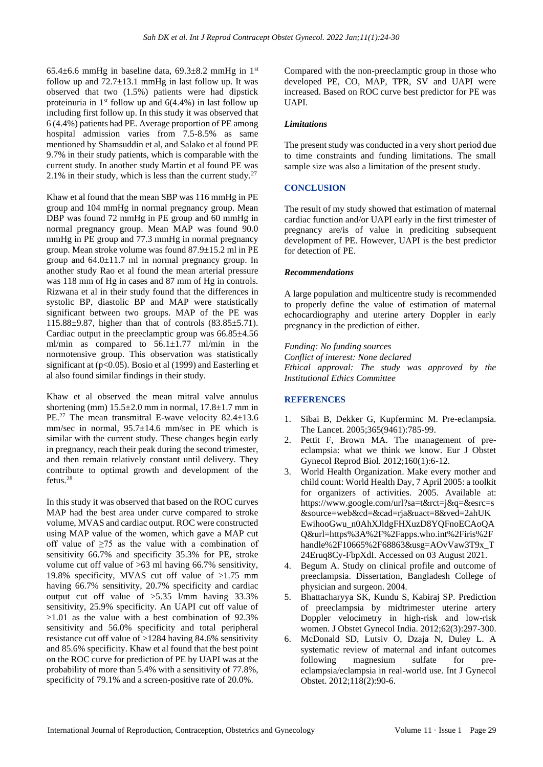65.4 $\pm$ 6.6 mmHg in baseline data, 69.3 $\pm$ 8.2 mmHg in 1<sup>st</sup> follow up and  $72.7\pm13.1$  mmHg in last follow up. It was observed that two (1.5%) patients were had dipstick proteinuria in  $1<sup>st</sup>$  follow up and 6(4.4%) in last follow up including first follow up. In this study it was observed that 6 (4.4%) patients had PE. Average proportion of PE among hospital admission varies from 7.5-8.5% as same mentioned by Shamsuddin et al, and Salako et al found PE 9.7% in their study patients, which is comparable with the current study. In another study Martin et al found PE was 2.1% in their study, which is less than the current study.<sup>27</sup>

Khaw et al found that the mean SBP was 116 mmHg in PE group and 104 mmHg in normal pregnancy group. Mean DBP was found 72 mmHg in PE group and 60 mmHg in normal pregnancy group. Mean MAP was found 90.0 mmHg in PE group and 77.3 mmHg in normal pregnancy group. Mean stroke volume was found 87.9±15.2 ml in PE group and 64.0±11.7 ml in normal pregnancy group. In another study Rao et al found the mean arterial pressure was 118 mm of Hg in cases and 87 mm of Hg in controls. Rizwana et al in their study found that the differences in systolic BP, diastolic BP and MAP were statistically significant between two groups. MAP of the PE was 115.88±9.87, higher than that of controls (83.85±5.71). Cardiac output in the preeclamptic group was 66.85±4.56 ml/min as compared to 56.1±1.77 ml/min in the normotensive group. This observation was statistically significant at (p<0.05). Bosio et al (1999) and Easterling et al also found similar findings in their study.

Khaw et al observed the mean mitral valve annulus shortening (mm)  $15.5\pm2.0$  mm in normal,  $17.8\pm1.7$  mm in PE.<sup>27</sup> The mean transmitral E-wave velocity 82.4±13.6 mm/sec in normal,  $95.7 \pm 14.6$  mm/sec in PE which is similar with the current study. These changes begin early in pregnancy, reach their peak during the second trimester, and then remain relatively constant until delivery. They contribute to optimal growth and development of the fetus.<sup>28</sup>

In this study it was observed that based on the ROC curves MAP had the best area under curve compared to stroke volume, MVAS and cardiac output. ROC were constructed using MAP value of the women, which gave a MAP cut off value of  $\geq$ 75 as the value with a combination of sensitivity 66.7% and specificity 35.3% for PE, stroke volume cut off value of >63 ml having 66.7% sensitivity, 19.8% specificity, MVAS cut off value of >1.75 mm having 66.7% sensitivity, 20.7% specificity and cardiac output cut off value of >5.35 l/mm having 33.3% sensitivity, 25.9% specificity. An UAPI cut off value of >1.01 as the value with a best combination of 92.3% sensitivity and 56.0% specificity and total peripheral resistance cut off value of >1284 having 84.6% sensitivity and 85.6% specificity. Khaw et al found that the best point on the ROC curve for prediction of PE by UAPI was at the probability of more than 5.4% with a sensitivity of 77.8%, specificity of 79.1% and a screen-positive rate of 20.0%.

Compared with the non-preeclamptic group in those who developed PE, CO, MAP, TPR, SV and UAPI were increased. Based on ROC curve best predictor for PE was UAPI.

#### *Limitations*

The present study was conducted in a very short period due to time constraints and funding limitations. The small sample size was also a limitation of the present study.

## **CONCLUSION**

The result of my study showed that estimation of maternal cardiac function and/or UAPI early in the first trimester of pregnancy are/is of value in prediciting subsequent development of PE. However, UAPI is the best predictor for detection of PE.

#### *Recommendations*

A large population and multicentre study is recommended to properly define the value of estimation of maternal echocardiography and uterine artery Doppler in early pregnancy in the prediction of either.

*Funding: No funding sources Conflict of interest: None declared Ethical approval: The study was approved by the Institutional Ethics Committee*

## **REFERENCES**

- 1. Sibai B, Dekker G, Kupferminc M. Pre-eclampsia. The Lancet. 2005;365(9461):785-99.
- 2. Pettit F, Brown MA. The management of preeclampsia: what we think we know. Eur J Obstet Gynecol Reprod Biol. 2012;160(1):6-12.
- 3. World Health Organization. Make every mother and child count: World Health Day, 7 April 2005: a toolkit for organizers of activities. 2005. Available at: https://www.google.com/url?sa=t&rct=j&q=&esrc=s &source=web&cd=&cad=rja&uact=8&ved=2ahUK EwihooGwu\_n0AhXJldgFHXuzD8YQFnoECAoQA Q&url=https%3A%2F%2Fapps.who.int%2Firis%2F handle%2F10665%2F68863&usg=AOvVaw3T9x\_T 24Eruq8Cy-FbpXdI. Accessed on 03 August 2021.
- 4. Begum A. Study on clinical profile and outcome of preeclampsia. Dissertation, Bangladesh College of physician and surgeon. 2004.
- 5. Bhattacharyya SK, Kundu S, Kabiraj SP. Prediction of preeclampsia by midtrimester uterine artery Doppler velocimetry in high-risk and low-risk women. J Obstet Gynecol India. 2012;62(3):297-300.
- 6. McDonald SD, Lutsiv O, Dzaja N, Duley L. A systematic review of maternal and infant outcomes following magnesium sulfate for preeclampsia/eclampsia in real-world use. Int J Gynecol Obstet. 2012;118(2):90-6.